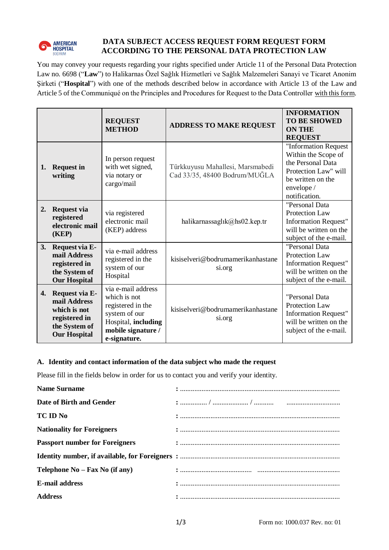

# **DATA SUBJECT ACCESS REQUEST FORM REQUEST FORM ACCORDING TO THE PERSONAL DATA PROTECTION LAW**

You may convey your requests regarding your rights specified under Article 11 of the Personal Data Protection Law no. 6698 ("**Law**") to Halikarnas Özel Sağlık Hizmetleri ve Sağlık Malzemeleri Sanayi ve Ticaret Anonim Şirketi ("**Hospital**") with one of the methods described below in accordance with Article 13 of the Law and Article 5 of the Communiqué on the Principles and Procedures for Request to the Data Controller with this form.

|    |                                                                                                         | <b>REQUEST</b><br><b>METHOD</b>                                                                                                       | <b>ADDRESS TO MAKE REQUEST</b>                                    | <b>INFORMATION</b><br><b>TO BE SHOWED</b><br><b>ON THE</b><br><b>REQUEST</b>                                                                 |
|----|---------------------------------------------------------------------------------------------------------|---------------------------------------------------------------------------------------------------------------------------------------|-------------------------------------------------------------------|----------------------------------------------------------------------------------------------------------------------------------------------|
| 1. | <b>Request in</b><br>writing                                                                            | In person request<br>with wet signed,<br>via notary or<br>cargo/mail                                                                  | Türkkuyusu Mahallesi, Marsmabedi<br>Cad 33/35, 48400 Bodrum/MUĞLA | "Information Request<br>Within the Scope of<br>the Personal Data<br>Protection Law" will<br>be written on the<br>envelope /<br>notification. |
| 2. | Request via<br>registered<br>electronic mail<br>(KEP)                                                   | via registered<br>electronic mail<br>(KEP) address                                                                                    | halikarnassaglık $@$ hs02.kep.tr                                  | "Personal Data<br><b>Protection Law</b><br><b>Information Request"</b><br>will be written on the<br>subject of the e-mail.                   |
| 3. | Request via E-<br>mail Address<br>registered in<br>the System of<br><b>Our Hospital</b>                 | via e-mail address<br>registered in the<br>system of our<br>Hospital                                                                  | kisiselveri@bodrumamerikanhastane<br>si.org                       | "Personal Data<br><b>Protection Law</b><br><b>Information Request"</b><br>will be written on the<br>subject of the e-mail.                   |
| 4. | Request via E-<br>mail Address<br>which is not<br>registered in<br>the System of<br><b>Our Hospital</b> | via e-mail address<br>which is not<br>registered in the<br>system of our<br>Hospital, including<br>mobile signature /<br>e-signature. | kisiselveri@bodrumamerikanhastane<br>si.org                       | "Personal Data<br><b>Protection Law</b><br><b>Information Request"</b><br>will be written on the<br>subject of the e-mail.                   |

#### **A. Identity and contact information of the data subject who made the request**

Please fill in the fields below in order for us to contact you and verify your identity.

| <b>Name Surname</b>                   |  |
|---------------------------------------|--|
| Date of Birth and Gender              |  |
| <b>TC ID No</b>                       |  |
| <b>Nationality for Foreigners</b>     |  |
| <b>Passport number for Foreigners</b> |  |
|                                       |  |
| Telephone $No - Fax No$ (if any)      |  |
| E-mail address                        |  |
| <b>Address</b>                        |  |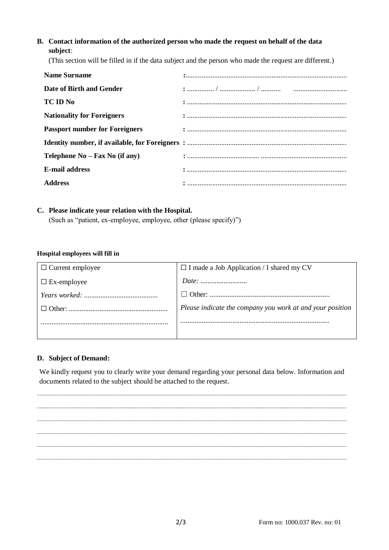# **B. Contact information of the authorized person who made the request on behalf of the data subject**:

(This section will be filled in if the data subject and the person who made the request are different.)

| <b>Name Surname</b>                   |  |
|---------------------------------------|--|
| Date of Birth and Gender              |  |
| TC ID No                              |  |
| <b>Nationality for Foreigners</b>     |  |
| <b>Passport number for Foreigners</b> |  |
|                                       |  |
| Telephone $No - Fax No$ (if any)      |  |
| <b>E-mail address</b>                 |  |
| <b>Address</b>                        |  |

## **C. Please indicate your relation with the Hospital.**

(Such as "patient, ex-employee, employee, other (please specify)")

#### **Hospital employees will fill in**

| $\Box$ Current employee | $\Box$ I made a Job Application / I shared my CV          |
|-------------------------|-----------------------------------------------------------|
| $\Box$ Ex-employee      |                                                           |
| Years worked: $\ldots$  |                                                           |
|                         | Please indicate the company you work at and your position |
|                         |                                                           |
|                         |                                                           |

#### **D. Subject of Demand:**

We kindly request you to clearly write your demand regarding your personal data below. Information and documents related to the subject should be attached to the request.